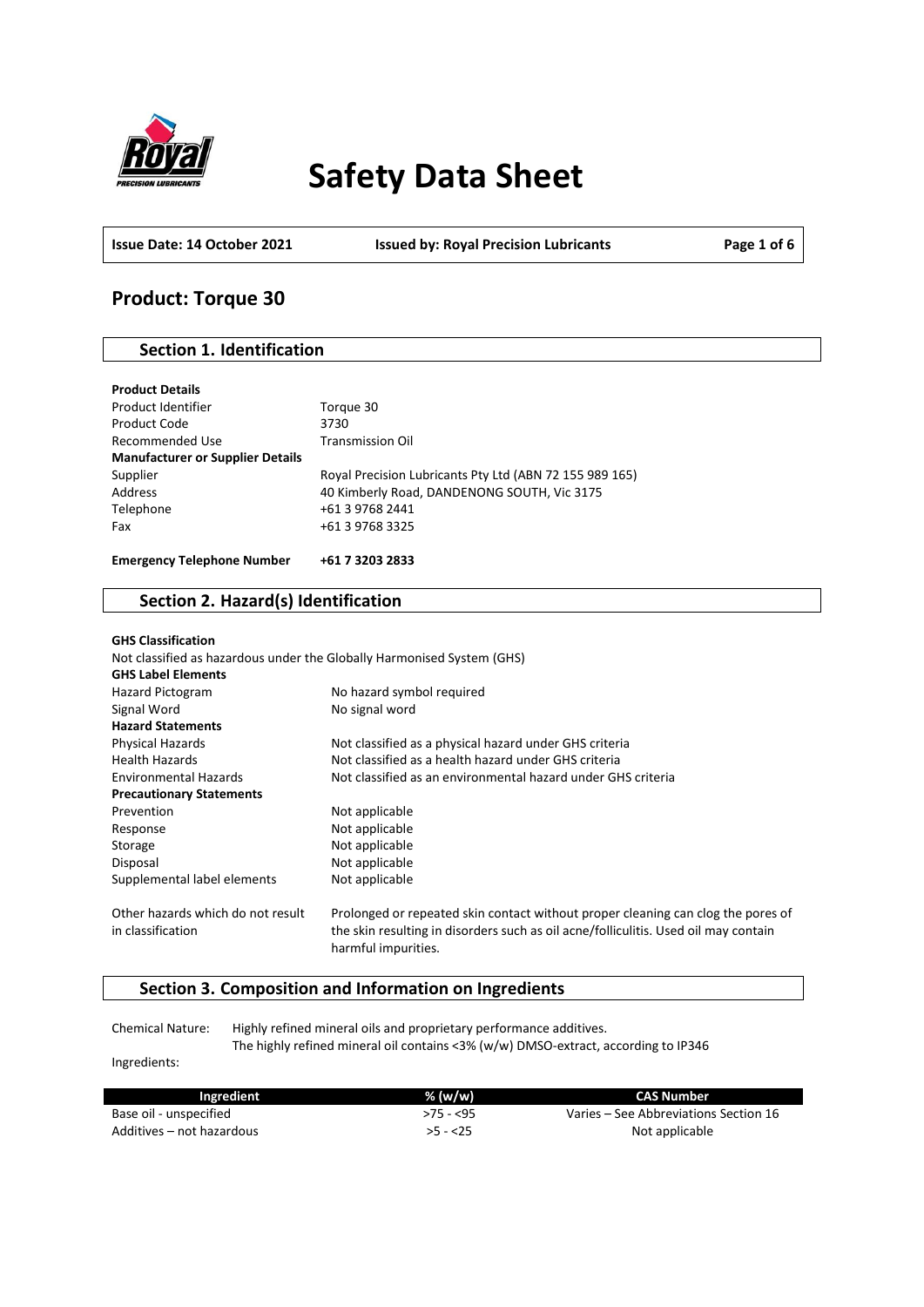

# **Safety Data Sheet**

**Issue Date: 14 October 2021 Issued by: Royal Precision Lubricants Page 1 of 6**

### **Product: Torque 30**

### **Section 1. Identification**

| Torque 30                                               |
|---------------------------------------------------------|
| 3730                                                    |
| <b>Transmission Oil</b>                                 |
|                                                         |
| Royal Precision Lubricants Pty Ltd (ABN 72 155 989 165) |
| 40 Kimberly Road, DANDENONG SOUTH, Vic 3175             |
| +61 3 9768 2441                                         |
| +61 3 9768 3325                                         |
| +61 7 3203 2833                                         |
|                                                         |

### **Section 2. Hazard(s) Identification**

| <b>GHS Classification</b>                              |                                                                                                                                                                                                |
|--------------------------------------------------------|------------------------------------------------------------------------------------------------------------------------------------------------------------------------------------------------|
|                                                        | Not classified as hazardous under the Globally Harmonised System (GHS)                                                                                                                         |
| <b>GHS Label Elements</b>                              |                                                                                                                                                                                                |
| <b>Hazard Pictogram</b>                                | No hazard symbol required                                                                                                                                                                      |
| Signal Word                                            | No signal word                                                                                                                                                                                 |
| <b>Hazard Statements</b>                               |                                                                                                                                                                                                |
| <b>Physical Hazards</b>                                | Not classified as a physical hazard under GHS criteria                                                                                                                                         |
| <b>Health Hazards</b>                                  | Not classified as a health hazard under GHS criteria                                                                                                                                           |
| <b>Environmental Hazards</b>                           | Not classified as an environmental hazard under GHS criteria                                                                                                                                   |
| <b>Precautionary Statements</b>                        |                                                                                                                                                                                                |
| Prevention                                             | Not applicable                                                                                                                                                                                 |
| Response                                               | Not applicable                                                                                                                                                                                 |
| Storage                                                | Not applicable                                                                                                                                                                                 |
| Disposal                                               | Not applicable                                                                                                                                                                                 |
| Supplemental label elements                            | Not applicable                                                                                                                                                                                 |
| Other hazards which do not result<br>in classification | Prolonged or repeated skin contact without proper cleaning can clog the pores of<br>the skin resulting in disorders such as oil acne/folliculitis. Used oil may contain<br>harmful impurities. |

### **Section 3. Composition and Information on Ingredients**

Chemical Nature: Highly refined mineral oils and proprietary performance additives. The highly refined mineral oil contains <3% (w/w) DMSO-extract, according to IP346

Ingredients:

| Ingredient                | $%$ (w/w)  | CAS Number                            |
|---------------------------|------------|---------------------------------------|
| Base oil - unspecified    | $>75 - 55$ | Varies – See Abbreviations Section 16 |
| Additives – not hazardous | $>5 - 25$  | Not applicable                        |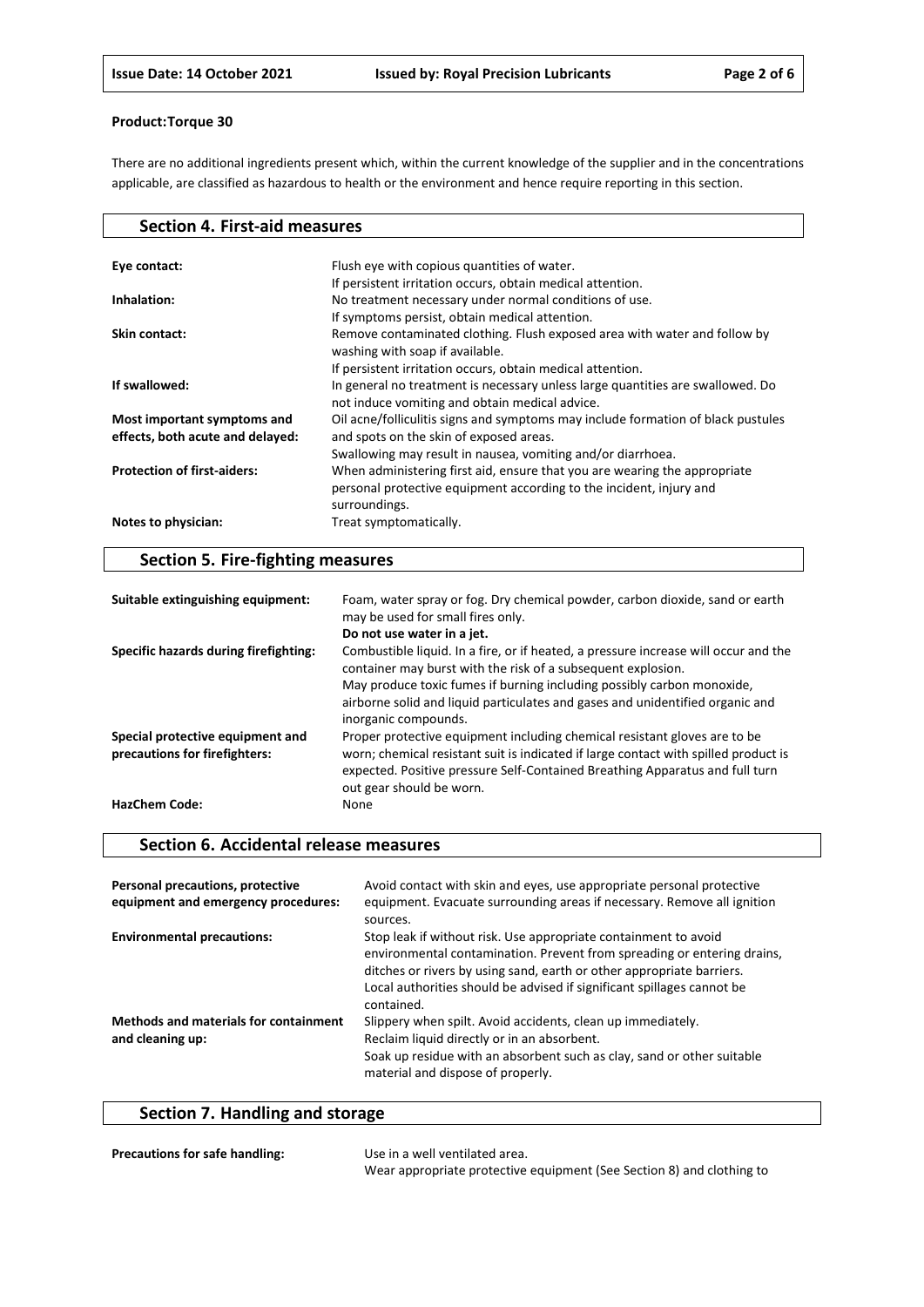There are no additional ingredients present which, within the current knowledge of the supplier and in the concentrations applicable, are classified as hazardous to health or the environment and hence require reporting in this section.

| Flush eye with copious quantities of water.<br>Eye contact:<br>If persistent irritation occurs, obtain medical attention.<br>No treatment necessary under normal conditions of use.<br>Inhalation:<br>If symptoms persist, obtain medical attention. |
|------------------------------------------------------------------------------------------------------------------------------------------------------------------------------------------------------------------------------------------------------|
|                                                                                                                                                                                                                                                      |
|                                                                                                                                                                                                                                                      |
|                                                                                                                                                                                                                                                      |
|                                                                                                                                                                                                                                                      |
|                                                                                                                                                                                                                                                      |
| Remove contaminated clothing. Flush exposed area with water and follow by<br>Skin contact:                                                                                                                                                           |
| washing with soap if available.                                                                                                                                                                                                                      |
| If persistent irritation occurs, obtain medical attention.                                                                                                                                                                                           |
| If swallowed:<br>In general no treatment is necessary unless large quantities are swallowed. Do                                                                                                                                                      |
| not induce vomiting and obtain medical advice.                                                                                                                                                                                                       |
| Oil acne/folliculitis signs and symptoms may include formation of black pustules<br>Most important symptoms and                                                                                                                                      |
| and spots on the skin of exposed areas.<br>effects, both acute and delayed:                                                                                                                                                                          |
| Swallowing may result in nausea, vomiting and/or diarrhoea.                                                                                                                                                                                          |
| <b>Protection of first-aiders:</b><br>When administering first aid, ensure that you are wearing the appropriate                                                                                                                                      |
| personal protective equipment according to the incident, injury and                                                                                                                                                                                  |
| surroundings.                                                                                                                                                                                                                                        |
| Notes to physician:<br>Treat symptomatically.                                                                                                                                                                                                        |

### **Section 5. Fire-fighting measures**

| Suitable extinguishing equipment:                                 | Foam, water spray or fog. Dry chemical powder, carbon dioxide, sand or earth<br>may be used for small fires only.                                                                                                                                                            |
|-------------------------------------------------------------------|------------------------------------------------------------------------------------------------------------------------------------------------------------------------------------------------------------------------------------------------------------------------------|
|                                                                   | Do not use water in a jet.                                                                                                                                                                                                                                                   |
| Specific hazards during firefighting:                             | Combustible liquid. In a fire, or if heated, a pressure increase will occur and the<br>container may burst with the risk of a subsequent explosion.<br>May produce toxic fumes if burning including possibly carbon monoxide,                                                |
|                                                                   | airborne solid and liquid particulates and gases and unidentified organic and<br>inorganic compounds.                                                                                                                                                                        |
| Special protective equipment and<br>precautions for firefighters: | Proper protective equipment including chemical resistant gloves are to be<br>worn; chemical resistant suit is indicated if large contact with spilled product is<br>expected. Positive pressure Self-Contained Breathing Apparatus and full turn<br>out gear should be worn. |
| <b>HazChem Code:</b>                                              | None                                                                                                                                                                                                                                                                         |

### **Section 6. Accidental release measures**

| Personal precautions, protective<br>equipment and emergency procedures: | Avoid contact with skin and eyes, use appropriate personal protective<br>equipment. Evacuate surrounding areas if necessary. Remove all ignition<br>sources.                                                                                                                                                |
|-------------------------------------------------------------------------|-------------------------------------------------------------------------------------------------------------------------------------------------------------------------------------------------------------------------------------------------------------------------------------------------------------|
| <b>Environmental precautions:</b>                                       | Stop leak if without risk. Use appropriate containment to avoid<br>environmental contamination. Prevent from spreading or entering drains,<br>ditches or rivers by using sand, earth or other appropriate barriers.<br>Local authorities should be advised if significant spillages cannot be<br>contained. |
| <b>Methods and materials for containment</b><br>and cleaning up:        | Slippery when spilt. Avoid accidents, clean up immediately.<br>Reclaim liquid directly or in an absorbent.<br>Soak up residue with an absorbent such as clay, sand or other suitable<br>material and dispose of properly.                                                                                   |

## **Section 7. Handling and storage**

| <b>Precautions for safe handling:</b> | Use in a well ventilated area.                                        |
|---------------------------------------|-----------------------------------------------------------------------|
|                                       | Wear appropriate protective equipment (See Section 8) and clothing to |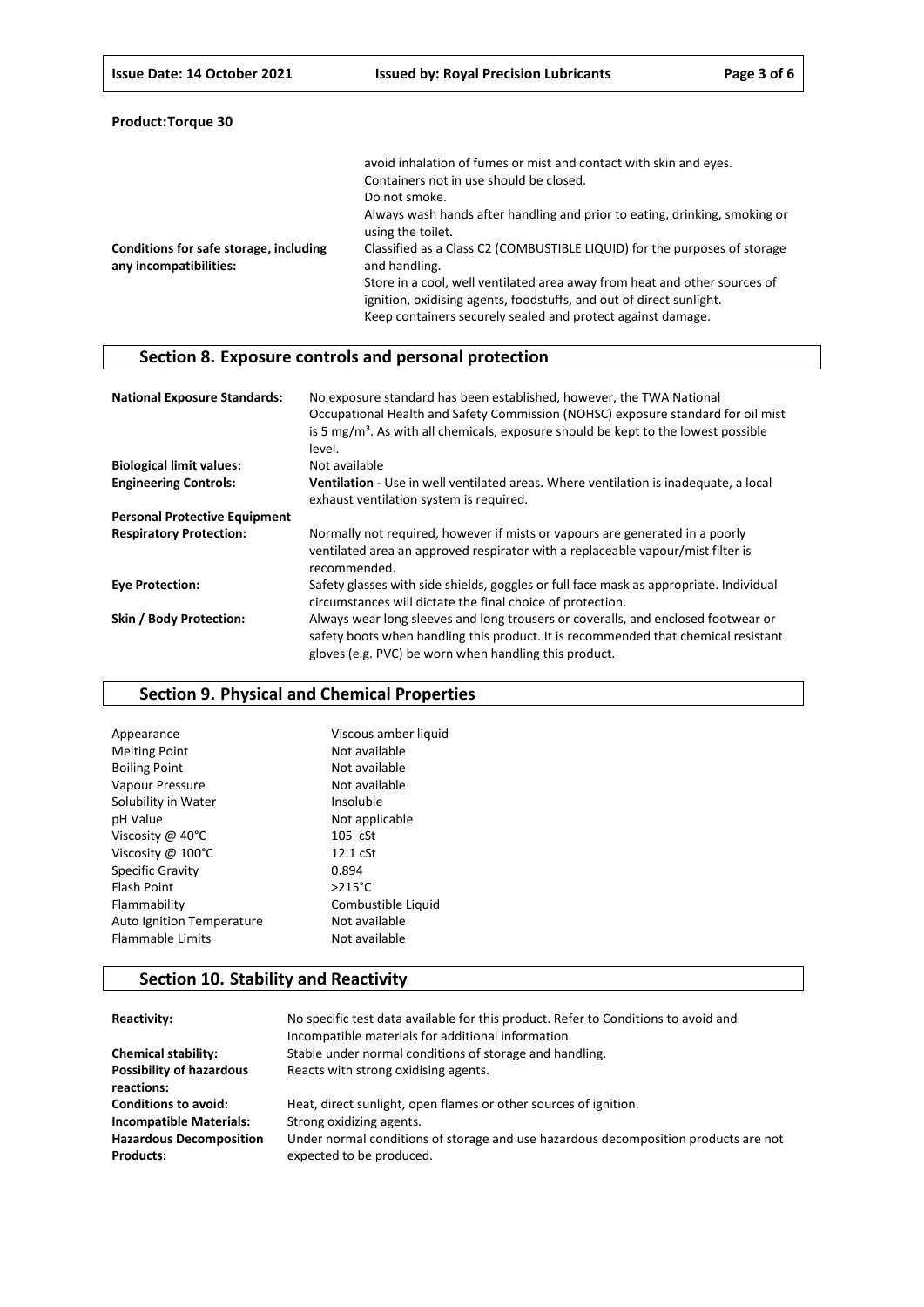| Product:Torque 30 |  |
|-------------------|--|
|-------------------|--|

|                                                                  | avoid inhalation of fumes or mist and contact with skin and eyes.<br>Containers not in use should be closed.                                                                                                    |
|------------------------------------------------------------------|-----------------------------------------------------------------------------------------------------------------------------------------------------------------------------------------------------------------|
|                                                                  | Do not smoke.                                                                                                                                                                                                   |
|                                                                  | Always wash hands after handling and prior to eating, drinking, smoking or<br>using the toilet.                                                                                                                 |
| Conditions for safe storage, including<br>any incompatibilities: | Classified as a Class C2 (COMBUSTIBLE LIQUID) for the purposes of storage<br>and handling.                                                                                                                      |
|                                                                  | Store in a cool, well ventilated area away from heat and other sources of<br>ignition, oxidising agents, foodstuffs, and out of direct sunlight.<br>Keep containers securely sealed and protect against damage. |

### **Section 8. Exposure controls and personal protection**

| <b>National Exposure Standards:</b>  | No exposure standard has been established, however, the TWA National<br>Occupational Health and Safety Commission (NOHSC) exposure standard for oil mist<br>is 5 $mg/m3$ . As with all chemicals, exposure should be kept to the lowest possible<br>level. |
|--------------------------------------|------------------------------------------------------------------------------------------------------------------------------------------------------------------------------------------------------------------------------------------------------------|
| <b>Biological limit values:</b>      | Not available                                                                                                                                                                                                                                              |
| <b>Engineering Controls:</b>         | Ventilation - Use in well ventilated areas. Where ventilation is inadequate, a local<br>exhaust ventilation system is required.                                                                                                                            |
| <b>Personal Protective Equipment</b> |                                                                                                                                                                                                                                                            |
| <b>Respiratory Protection:</b>       | Normally not required, however if mists or vapours are generated in a poorly<br>ventilated area an approved respirator with a replaceable vapour/mist filter is<br>recommended.                                                                            |
| <b>Eve Protection:</b>               | Safety glasses with side shields, goggles or full face mask as appropriate. Individual<br>circumstances will dictate the final choice of protection.                                                                                                       |
| Skin / Body Protection:              | Always wear long sleeves and long trousers or coveralls, and enclosed footwear or<br>safety boots when handling this product. It is recommended that chemical resistant<br>gloves (e.g. PVC) be worn when handling this product.                           |

### **Section 9. Physical and Chemical Properties**

| Viscous amber liquid |
|----------------------|
| Not available        |
| Not available        |
| Not available        |
| Insoluble            |
| Not applicable       |
| 105 cSt              |
| $12.1 \text{ cSt}$   |
| 0.894                |
| $>215^{\circ}$ C     |
| Combustible Liquid   |
| Not available        |
| Not available        |
|                      |

### **Section 10. Stability and Reactivity**

| Reactivity:                                        | No specific test data available for this product. Refer to Conditions to avoid and<br>Incompatible materials for additional information. |
|----------------------------------------------------|------------------------------------------------------------------------------------------------------------------------------------------|
| <b>Chemical stability:</b>                         | Stable under normal conditions of storage and handling.                                                                                  |
| <b>Possibility of hazardous</b><br>reactions:      | Reacts with strong oxidising agents.                                                                                                     |
| <b>Conditions to avoid:</b>                        | Heat, direct sunlight, open flames or other sources of ignition.                                                                         |
| <b>Incompatible Materials:</b>                     | Strong oxidizing agents.                                                                                                                 |
| <b>Hazardous Decomposition</b><br><b>Products:</b> | Under normal conditions of storage and use hazardous decomposition products are not<br>expected to be produced.                          |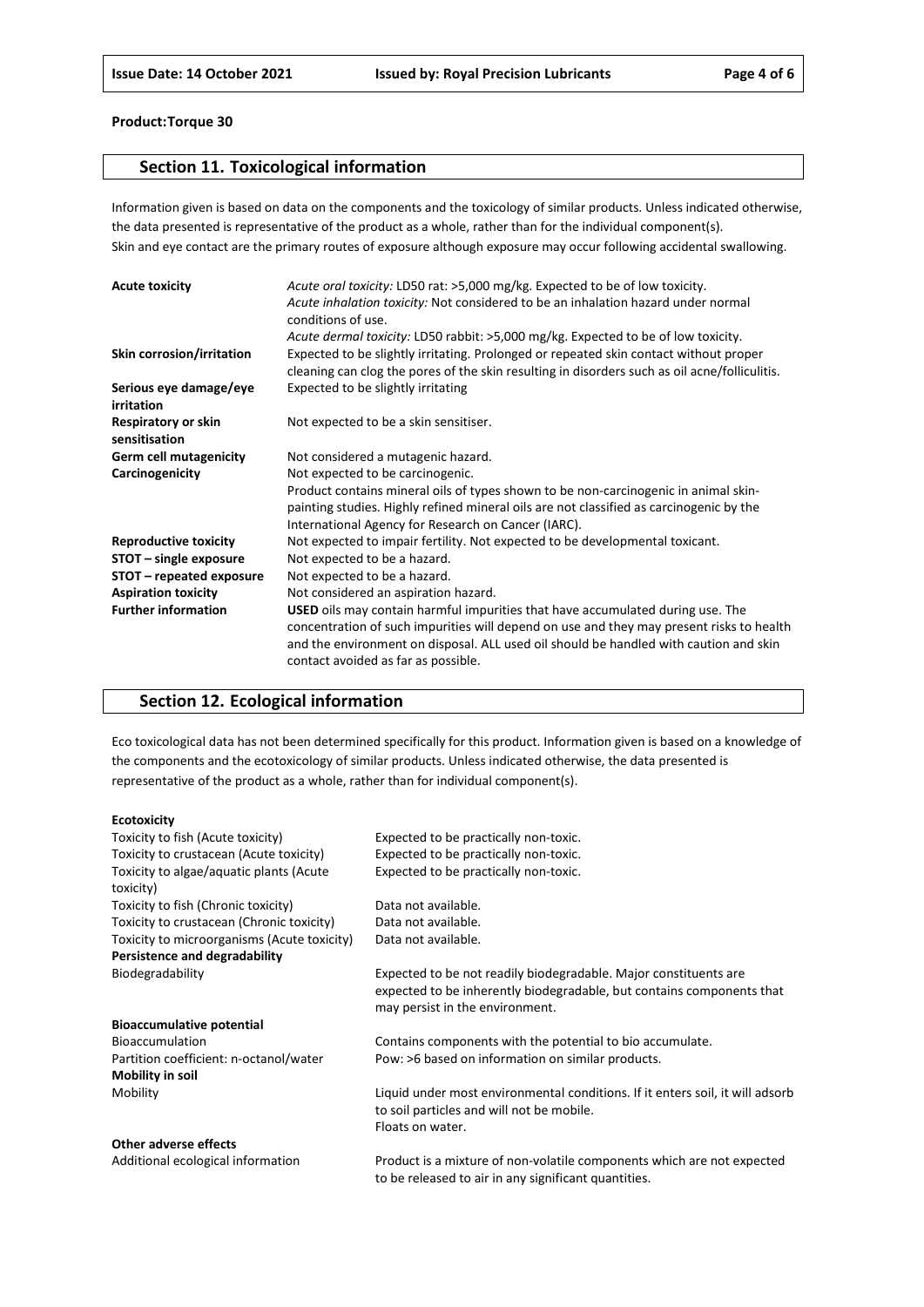### **Section 11. Toxicological information**

Information given is based on data on the components and the toxicology of similar products. Unless indicated otherwise, the data presented is representative of the product as a whole, rather than for the individual component(s). Skin and eye contact are the primary routes of exposure although exposure may occur following accidental swallowing.

| <b>Acute toxicity</b>                | Acute oral toxicity: LD50 rat: >5,000 mg/kg. Expected to be of low toxicity.<br>Acute inhalation toxicity: Not considered to be an inhalation hazard under normal<br>conditions of use.                                                                                                                           |
|--------------------------------------|-------------------------------------------------------------------------------------------------------------------------------------------------------------------------------------------------------------------------------------------------------------------------------------------------------------------|
|                                      | Acute dermal toxicity: LD50 rabbit: >5,000 mg/kg. Expected to be of low toxicity.                                                                                                                                                                                                                                 |
| Skin corrosion/irritation            | Expected to be slightly irritating. Prolonged or repeated skin contact without proper<br>cleaning can clog the pores of the skin resulting in disorders such as oil acne/folliculitis.                                                                                                                            |
| Serious eye damage/eye<br>irritation | Expected to be slightly irritating                                                                                                                                                                                                                                                                                |
| Respiratory or skin<br>sensitisation | Not expected to be a skin sensitiser.                                                                                                                                                                                                                                                                             |
| <b>Germ cell mutagenicity</b>        | Not considered a mutagenic hazard.                                                                                                                                                                                                                                                                                |
| Carcinogenicity                      | Not expected to be carcinogenic.                                                                                                                                                                                                                                                                                  |
|                                      | Product contains mineral oils of types shown to be non-carcinogenic in animal skin-                                                                                                                                                                                                                               |
|                                      | painting studies. Highly refined mineral oils are not classified as carcinogenic by the                                                                                                                                                                                                                           |
|                                      | International Agency for Research on Cancer (IARC).                                                                                                                                                                                                                                                               |
| <b>Reproductive toxicity</b>         | Not expected to impair fertility. Not expected to be developmental toxicant.                                                                                                                                                                                                                                      |
| STOT - single exposure               | Not expected to be a hazard.                                                                                                                                                                                                                                                                                      |
| STOT – repeated exposure             | Not expected to be a hazard.                                                                                                                                                                                                                                                                                      |
| <b>Aspiration toxicity</b>           | Not considered an aspiration hazard.                                                                                                                                                                                                                                                                              |
| <b>Further information</b>           | <b>USED</b> oils may contain harmful impurities that have accumulated during use. The<br>concentration of such impurities will depend on use and they may present risks to health<br>and the environment on disposal. ALL used oil should be handled with caution and skin<br>contact avoided as far as possible. |

### **Section 12. Ecological information**

Eco toxicological data has not been determined specifically for this product. Information given is based on a knowledge of the components and the ecotoxicology of similar products. Unless indicated otherwise, the data presented is representative of the product as a whole, rather than for individual component(s).

#### **Ecotoxicity**

| Toxicity to fish (Acute toxicity)           | Expected to be practically non-toxic.                                         |
|---------------------------------------------|-------------------------------------------------------------------------------|
| Toxicity to crustacean (Acute toxicity)     | Expected to be practically non-toxic.                                         |
| Toxicity to algae/aquatic plants (Acute     | Expected to be practically non-toxic.                                         |
| toxicity)                                   |                                                                               |
| Toxicity to fish (Chronic toxicity)         | Data not available.                                                           |
| Toxicity to crustacean (Chronic toxicity)   | Data not available.                                                           |
| Toxicity to microorganisms (Acute toxicity) | Data not available.                                                           |
| Persistence and degradability               |                                                                               |
| Biodegradability                            | Expected to be not readily biodegradable. Major constituents are              |
|                                             | expected to be inherently biodegradable, but contains components that         |
|                                             | may persist in the environment.                                               |
| <b>Bioaccumulative potential</b>            |                                                                               |
| <b>Bioaccumulation</b>                      | Contains components with the potential to bio accumulate.                     |
| Partition coefficient: n-octanol/water      | Pow: >6 based on information on similar products.                             |
| <b>Mobility in soil</b>                     |                                                                               |
| Mobility                                    | Liquid under most environmental conditions. If it enters soil, it will adsorb |
|                                             | to soil particles and will not be mobile.                                     |
|                                             | Floats on water.                                                              |
| Other adverse effects                       |                                                                               |
| Additional ecological information           | Product is a mixture of non-volatile components which are not expected        |

to be released to air in any significant quantities.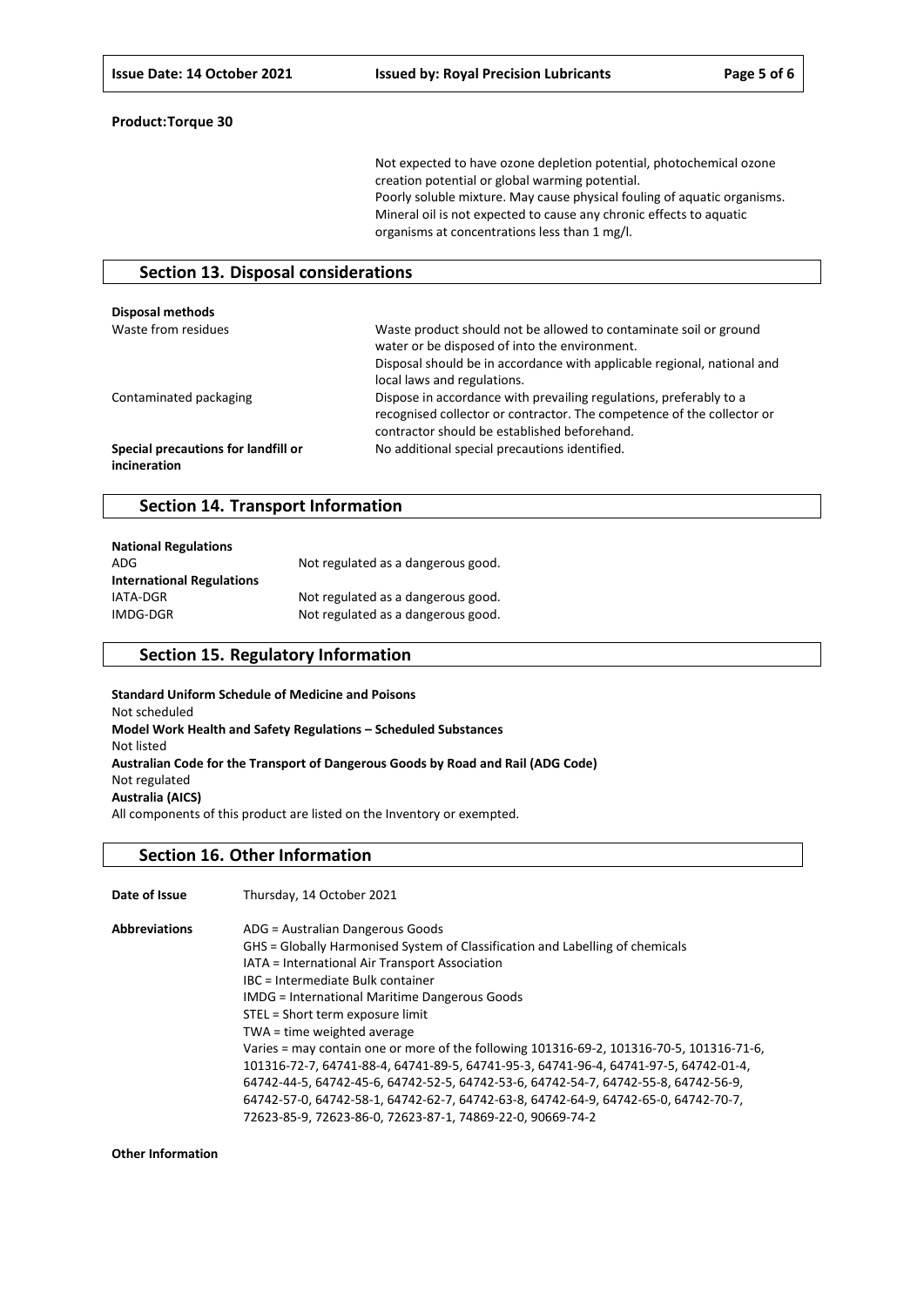Not expected to have ozone depletion potential, photochemical ozone creation potential or global warming potential. Poorly soluble mixture. May cause physical fouling of aquatic organisms. Mineral oil is not expected to cause any chronic effects to aquatic organisms at concentrations less than 1 mg/l.

### **Section 13. Disposal considerations**

| <b>Disposal methods</b>                             |                                                                                                                                                                                                                              |
|-----------------------------------------------------|------------------------------------------------------------------------------------------------------------------------------------------------------------------------------------------------------------------------------|
| Waste from residues                                 | Waste product should not be allowed to contaminate soil or ground<br>water or be disposed of into the environment.<br>Disposal should be in accordance with applicable regional, national and<br>local laws and regulations. |
| Contaminated packaging                              | Dispose in accordance with prevailing regulations, preferably to a<br>recognised collector or contractor. The competence of the collector or<br>contractor should be established beforehand.                                 |
| Special precautions for landfill or<br>incineration | No additional special precautions identified.                                                                                                                                                                                |

### **Section 14. Transport Information**

| <b>National Regulations</b>      |                                    |
|----------------------------------|------------------------------------|
| ADG                              | Not regulated as a dangerous good. |
| <b>International Regulations</b> |                                    |
| IATA-DGR                         | Not regulated as a dangerous good. |
| IMDG-DGR                         | Not regulated as a dangerous good. |

### **Section 15. Regulatory Information**

**Standard Uniform Schedule of Medicine and Poisons** Not scheduled **Model Work Health and Safety Regulations – Scheduled Substances** Not listed **Australian Code for the Transport of Dangerous Goods by Road and Rail (ADG Code)** Not regulated **Australia (AICS)** All components of this product are listed on the Inventory or exempted.

### **Section 16. Other Information**

**Date of Issue** Thursday, 14 October 2021 **Abbreviations** ADG = Australian Dangerous Goods

| GHS = Globally Harmonised System of Classification and Labelling of chemicals            |
|------------------------------------------------------------------------------------------|
| IATA = International Air Transport Association                                           |
| IBC = Intermediate Bulk container                                                        |
| <b>IMDG</b> = International Maritime Dangerous Goods                                     |
| STEL = Short term exposure limit                                                         |
| TWA = time weighted average                                                              |
| Varies = may contain one or more of the following 101316-69-2, 101316-70-5, 101316-71-6, |
| 101316-72-7, 64741-88-4, 64741-89-5, 64741-95-3, 64741-96-4, 64741-97-5, 64742-01-4,     |
| 64742-44-5, 64742-45-6, 64742-52-5, 64742-53-6, 64742-54-7, 64742-55-8, 64742-56-9,      |
| 64742-57-0, 64742-58-1, 64742-62-7, 64742-63-8, 64742-64-9, 64742-65-0, 64742-70-7,      |
| 72623-85-9, 72623-86-0, 72623-87-1, 74869-22-0, 90669-74-2                               |
|                                                                                          |

**Other Information**